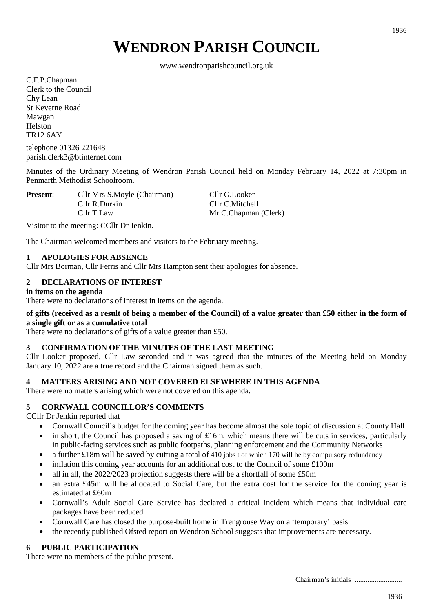# **WENDRON PARISH COUNCIL**

www.wendronparishcouncil.org.uk

C.F.P.Chapman Clerk to the Council Chy Lean St Keverne Road Mawgan Helston TR12 6AY

telephone 01326 221648 parish.clerk3@btinternet.com

Minutes of the Ordinary Meeting of Wendron Parish Council held on Monday February 14, 2022 at 7:30pm in Penmarth Methodist Schoolroom.

**Present:** Cllr Mrs S.Moyle (Chairman) Cllr G.Looker Cllr R.Durkin Cllr C.Mitchell Cllr T.Law Mr C.Chapman (Clerk)

Visitor to the meeting: CCllr Dr Jenkin.

The Chairman welcomed members and visitors to the February meeting.

# **1 APOLOGIES FOR ABSENCE**

Cllr Mrs Borman, Cllr Ferris and Cllr Mrs Hampton sent their apologies for absence.

# **2 DECLARATIONS OF INTEREST**

# **in items on the agenda**

There were no declarations of interest in items on the agenda.

# **of gifts (received as a result of being a member of the Council) of a value greater than £50 either in the form of a single gift or as a cumulative total**

There were no declarations of gifts of a value greater than £50.

# **3 CONFIRMATION OF THE MINUTES OF THE LAST MEETING**

Cllr Looker proposed, Cllr Law seconded and it was agreed that the minutes of the Meeting held on Monday January 10, 2022 are a true record and the Chairman signed them as such.

# **4 MATTERS ARISING AND NOT COVERED ELSEWHERE IN THIS AGENDA**

There were no matters arising which were not covered on this agenda.

# **5 CORNWALL COUNCILLOR'S COMMENTS**

CCllr Dr Jenkin reported that

- Cornwall Council's budget for the coming year has become almost the sole topic of discussion at County Hall
- in short, the Council has proposed a saving of £16m, which means there will be cuts in services, particularly in public-facing services such as public footpaths, planning enforcement and the Community Networks
- a further £18m will be saved by cutting a total of 410 jobs t of which 170 will be by compulsory redundancy
- inflation this coming year accounts for an additional cost to the Council of some  $£100m$
- all in all, the 2022/2023 projection suggests there will be a shortfall of some £50m
- an extra £45m will be allocated to Social Care, but the extra cost for the service for the coming year is estimated at £60m
- Cornwall's Adult Social Care Service has declared a critical incident which means that individual care packages have been reduced
- Cornwall Care has closed the purpose-built home in Trengrouse Way on a 'temporary' basis
- the recently published Ofsted report on Wendron School suggests that improvements are necessary.

# **6 PUBLIC PARTICIPATION**

There were no members of the public present.

1936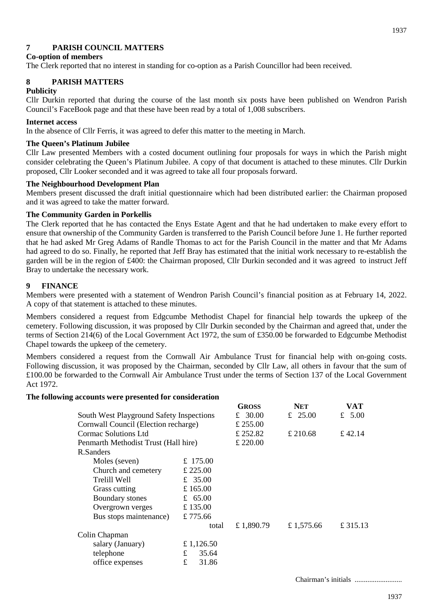# **7 PARISH COUNCIL MATTERS**

# **Co-option of members**

The Clerk reported that no interest in standing for co-option as a Parish Councillor had been received.

# **8 PARISH MATTERS**

# **Publicity**

Cllr Durkin reported that during the course of the last month six posts have been published on Wendron Parish Council's FaceBook page and that these have been read by a total of 1,008 subscribers.

# **Internet access**

In the absence of Cllr Ferris, it was agreed to defer this matter to the meeting in March.

# **The Queen's Platinum Jubilee**

Cllr Law presented Members with a costed document outlining four proposals for ways in which the Parish might consider celebrating the Queen's Platinum Jubilee. A copy of that document is attached to these minutes. Cllr Durkin proposed, Cllr Looker seconded and it was agreed to take all four proposals forward.

# **The Neighbourhood Development Plan**

Members present discussed the draft initial questionnaire which had been distributed earlier: the Chairman proposed and it was agreed to take the matter forward.

# **The Community Garden in Porkellis**

The Clerk reported that he has contacted the Enys Estate Agent and that he had undertaken to make every effort to ensure that ownership of the Community Garden is transferred to the Parish Council before June 1. He further reported that he had asked Mr Greg Adams of Randle Thomas to act for the Parish Council in the matter and that Mr Adams had agreed to do so. Finally, he reported that Jeff Bray has estimated that the initial work necessary to re-establish the garden will be in the region of £400: the Chairman proposed, Cllr Durkin seconded and it was agreed to instruct Jeff Bray to undertake the necessary work.

# **9 FINANCE**

Members were presented with a statement of Wendron Parish Council's financial position as at February 14, 2022. A copy of that statement is attached to these minutes.

Members considered a request from Edgcumbe Methodist Chapel for financial help towards the upkeep of the cemetery. Following discussion, it was proposed by Cllr Durkin seconded by the Chairman and agreed that, under the terms of Section 214(6) of the Local Government Act 1972, the sum of £350.00 be forwarded to Edgcumbe Methodist Chapel towards the upkeep of the cemetery.

Members considered a request from the Cornwall Air Ambulance Trust for financial help with on-going costs. Following discussion, it was proposed by the Chairman, seconded by Cllr Law, all others in favour that the sum of £100.00 be forwarded to the Cornwall Air Ambulance Trust under the terms of Section 137 of the Local Government Act 1972.

# **The following accounts were presented for consideration**

|                                          |            | <b>GROSS</b> | <b>NET</b> | VAT      |
|------------------------------------------|------------|--------------|------------|----------|
| South West Playground Safety Inspections |            | £ 30.00      | £ 25.00    | £ $5.00$ |
| Cornwall Council (Election recharge)     |            | £ 255.00     |            |          |
| Cormac Solutions Ltd                     |            | £ 252.82     | £ 210.68   | £ 42.14  |
| Penmarth Methodist Trust (Hall hire)     |            | £ 220.00     |            |          |
| R.Sanders                                |            |              |            |          |
| Moles (seven)                            | £ 175.00   |              |            |          |
| Church and cemetery                      | £ 225.00   |              |            |          |
| Trelill Well                             | £ 35.00    |              |            |          |
| Grass cutting                            | £ 165.00   |              |            |          |
| Boundary stones                          | £ 65.00    |              |            |          |
| Overgrown verges                         | £ 135.00   |              |            |          |
| Bus stops maintenance)                   | £775.66    |              |            |          |
|                                          | total      | £1,890.79    | £ 1,575.66 | £ 315.13 |
| Colin Chapman                            |            |              |            |          |
| salary (January)                         | £ 1,126.50 |              |            |          |
| telephone                                | £<br>35.64 |              |            |          |
| office expenses                          | £<br>31.86 |              |            |          |